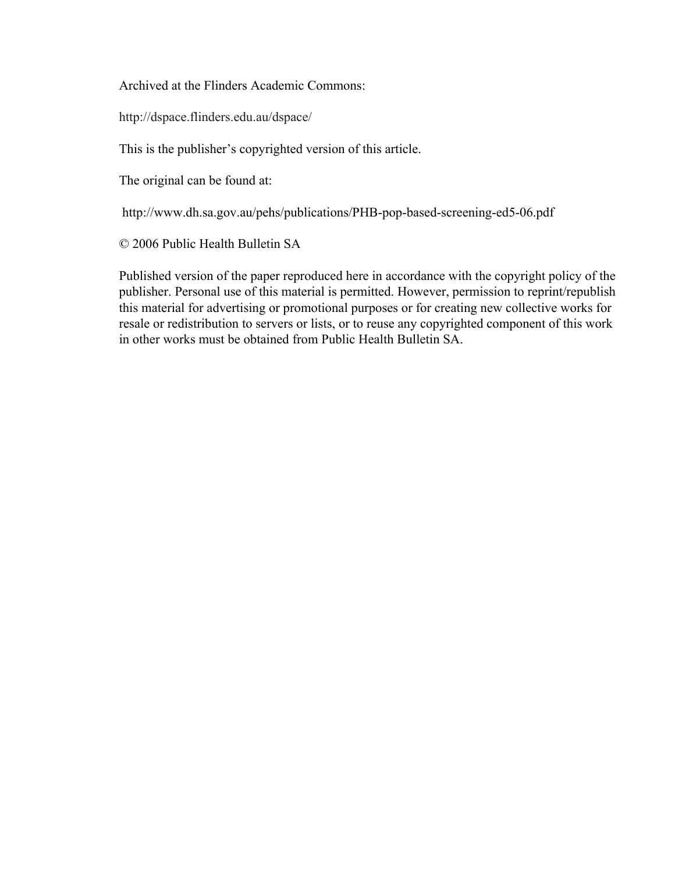Archived at the Flinders Academic Commons:

http://dspace.flinders.edu.au/dspace/

This is the publisher's copyrighted version of this article.

The original can be found at:

http://www.dh.sa.gov.au/pehs/publications/PHB-pop-based-screening-ed5-06.pdf

© 2006 Public Health Bulletin SA

Published version of the paper reproduced here in accordance with the copyright policy of the publisher. Personal use of this material is permitted. However, permission to reprint/republish this material for advertising or promotional purposes or for creating new collective works for resale or redistribution to servers or lists, or to reuse any copyrighted component of this work in other works must be obtained from Public Health Bulletin SA.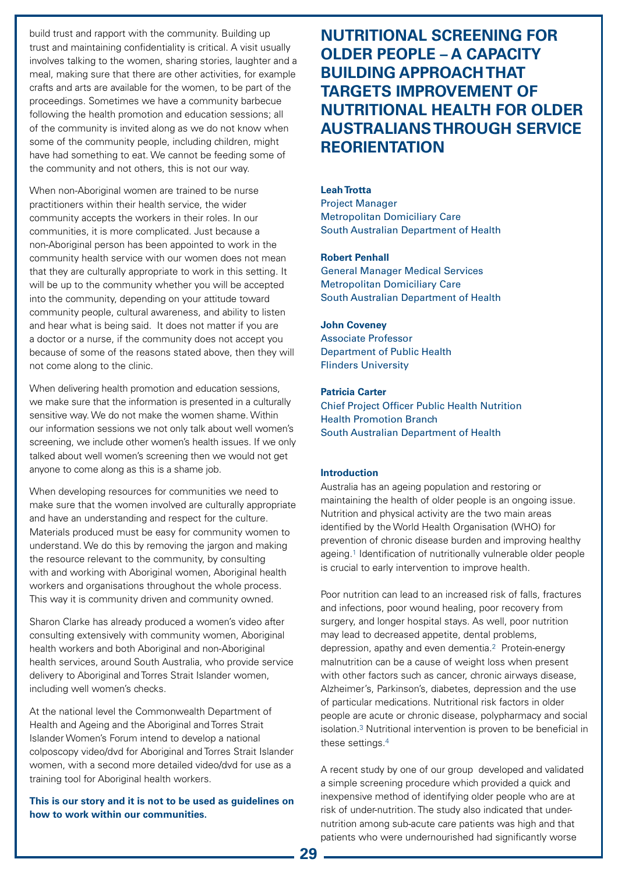# **NUTRITIONAL SCREENING FOR OLDER PEOPLE – A CAPACITY BUILDING APPROACH THAT TARGETS IMPROVEMENT OF NUTRITIONAL HEALTH FOR OLDER AUSTRALIANS THROUGH SERVICE REORIENTATION**

# **Leah Trotta**

Project Manager Metropolitan Domiciliary Care South Australian Department of Health

## **Robert Penhall**

General Manager Medical Services Metropolitan Domiciliary Care South Australian Department of Health

## **John Coveney**

Associate Professor Department of Public Health Flinders University

## **Patricia Carter**

Chief Project Officer Public Health Nutrition Health Promotion Branch South Australian Department of Health

## **Introduction**

Australia has an ageing population and restoring or maintaining the health of older people is an ongoing issue. Nutrition and physical activity are the two main areas identified by the World Health Organisation (WHO) for prevention of chronic disease burden and improving healthy ageing.1 Identification of nutritionally vulnerable older people is crucial to early intervention to improve health.

Poor nutrition can lead to an increased risk of falls, fractures and infections, poor wound healing, poor recovery from surgery, and longer hospital stays. As well, poor nutrition may lead to decreased appetite, dental problems, depression, apathy and even dementia.2 Protein-energy malnutrition can be a cause of weight loss when present with other factors such as cancer, chronic airways disease, Alzheimer's, Parkinson's, diabetes, depression and the use of particular medications. Nutritional risk factors in older people are acute or chronic disease, polypharmacy and social isolation.3 Nutritional intervention is proven to be beneficial in these settings.4

A recent study by one of our group developed and validated a simple screening procedure which provided a quick and inexpensive method of identifying older people who are at risk of under-nutrition. The study also indicated that undernutrition among sub-acute care patients was high and that patients who were undernourished had significantly worse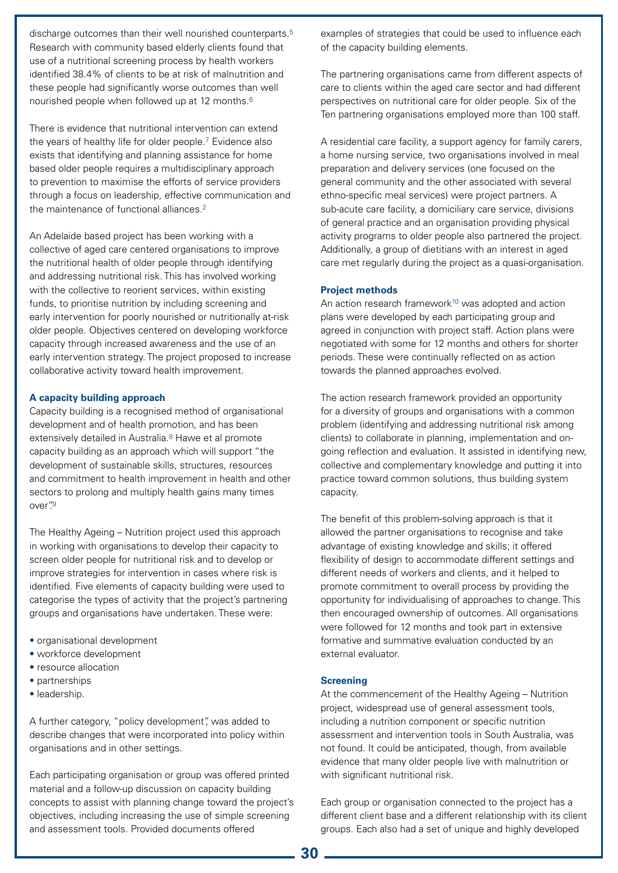discharge outcomes than their well nourished counterparts.<sup>5</sup> Research with community based elderly clients found that use of a nutritional screening process by health workers identified 38.4% of clients to be at risk of malnutrition and these people had significantly worse outcomes than well nourished people when followed up at 12 months.6

There is evidence that nutritional intervention can extend the years of healthy life for older people.7 Evidence also exists that identifying and planning assistance for home based older people requires a multidisciplinary approach to prevention to maximise the efforts of service providers through a focus on leadership, effective communication and the maintenance of functional alliances.<sup>2</sup>

An Adelaide based project has been working with a collective of aged care centered organisations to improve the nutritional health of older people through identifying and addressing nutritional risk. This has involved working with the collective to reorient services, within existing funds, to prioritise nutrition by including screening and early intervention for poorly nourished or nutritionally at-risk older people. Objectives centered on developing workforce capacity through increased awareness and the use of an early intervention strategy. The project proposed to increase collaborative activity toward health improvement.

#### **A capacity building approach**

Capacity building is a recognised method of organisational development and of health promotion, and has been extensively detailed in Australia.<sup>8</sup> Hawe et al promote capacity building as an approach which will support "the development of sustainable skills, structures, resources and commitment to health improvement in health and other sectors to prolong and multiply health gains many times over"<sup>9</sup>

The Healthy Ageing – Nutrition project used this approach in working with organisations to develop their capacity to screen older people for nutritional risk and to develop or improve strategies for intervention in cases where risk is identified. Five elements of capacity building were used to categorise the types of activity that the project's partnering groups and organisations have undertaken. These were:

- organisational development
- workforce development
- resource allocation
- partnerships
- leadership.

A further category, "policy development", was added to describe changes that were incorporated into policy within organisations and in other settings.

Each participating organisation or group was offered printed material and a follow-up discussion on capacity building concepts to assist with planning change toward the project's objectives, including increasing the use of simple screening and assessment tools. Provided documents offered

examples of strategies that could be used to influence each of the capacity building elements.

The partnering organisations came from different aspects of care to clients within the aged care sector and had different perspectives on nutritional care for older people. Six of the Ten partnering organisations employed more than 100 staff.

A residential care facility, a support agency for family carers, a home nursing service, two organisations involved in meal preparation and delivery services (one focused on the general community and the other associated with several ethno-specific meal services) were project partners. A sub-acute care facility, a domiciliary care service, divisions of general practice and an organisation providing physical activity programs to older people also partnered the project. Additionally, a group of dietitians with an interest in aged care met regularly during the project as a quasi-organisation.

#### **Project methods**

An action research framework<sup>10</sup> was adopted and action plans were developed by each participating group and agreed in conjunction with project staff. Action plans were negotiated with some for 12 months and others for shorter periods. These were continually reflected on as action towards the planned approaches evolved.

The action research framework provided an opportunity for a diversity of groups and organisations with a common problem (identifying and addressing nutritional risk among clients) to collaborate in planning, implementation and ongoing reflection and evaluation. It assisted in identifying new, collective and complementary knowledge and putting it into practice toward common solutions, thus building system capacity.

The benefit of this problem-solving approach is that it allowed the partner organisations to recognise and take advantage of existing knowledge and skills; it offered flexibility of design to accommodate different settings and different needs of workers and clients, and it helped to promote commitment to overall process by providing the opportunity for individualising of approaches to change. This then encouraged ownership of outcomes. All organisations were followed for 12 months and took part in extensive formative and summative evaluation conducted by an external evaluator.

#### **Screening**

At the commencement of the Healthy Ageing – Nutrition project, widespread use of general assessment tools, including a nutrition component or specific nutrition assessment and intervention tools in South Australia, was not found. It could be anticipated, though, from available evidence that many older people live with malnutrition or with significant nutritional risk.

Each group or organisation connected to the project has a different client base and a different relationship with its client groups. Each also had a set of unique and highly developed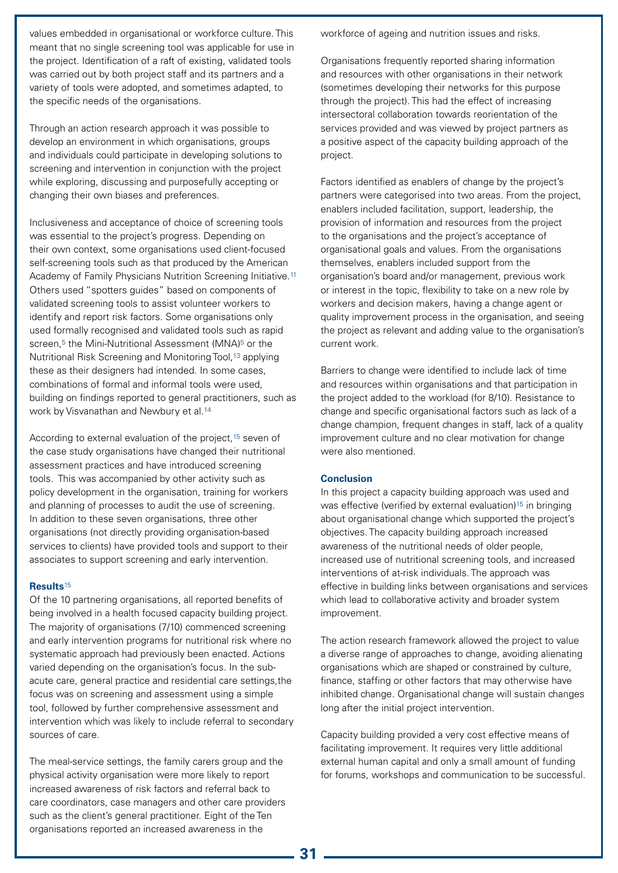values embedded in organisational or workforce culture. This meant that no single screening tool was applicable for use in the project. Identification of a raft of existing, validated tools was carried out by both project staff and its partners and a variety of tools were adopted, and sometimes adapted, to the specific needs of the organisations.

Through an action research approach it was possible to develop an environment in which organisations, groups and individuals could participate in developing solutions to screening and intervention in conjunction with the project while exploring, discussing and purposefully accepting or changing their own biases and preferences.

Inclusiveness and acceptance of choice of screening tools was essential to the project's progress. Depending on their own context, some organisations used client-focused self-screening tools such as that produced by the American Academy of Family Physicians Nutrition Screening Initiative.<sup>11</sup> Others used "spotters guides" based on components of validated screening tools to assist volunteer workers to identify and report risk factors. Some organisations only used formally recognised and validated tools such as rapid screen,<sup>5</sup> the Mini-Nutritional Assessment (MNA)<sup>5</sup> or the Nutritional Risk Screening and Monitoring Tool,<sup>13</sup> applying these as their designers had intended. In some cases, combinations of formal and informal tools were used, building on findings reported to general practitioners, such as work by Visvanathan and Newbury et al.<sup>14</sup>

According to external evaluation of the project,<sup>15</sup> seven of the case study organisations have changed their nutritional assessment practices and have introduced screening tools. This was accompanied by other activity such as policy development in the organisation, training for workers and planning of processes to audit the use of screening. In addition to these seven organisations, three other organisations (not directly providing organisation-based services to clients) have provided tools and support to their associates to support screening and early intervention.

#### **Results**<sup>15</sup>

Of the 10 partnering organisations, all reported benefits of being involved in a health focused capacity building project. The majority of organisations (7/10) commenced screening and early intervention programs for nutritional risk where no systematic approach had previously been enacted. Actions varied depending on the organisation's focus. In the subacute care, general practice and residential care settings,the focus was on screening and assessment using a simple tool, followed by further comprehensive assessment and intervention which was likely to include referral to secondary sources of care.

The meal-service settings, the family carers group and the physical activity organisation were more likely to report increased awareness of risk factors and referral back to care coordinators, case managers and other care providers such as the client's general practitioner. Eight of the Ten organisations reported an increased awareness in the

workforce of ageing and nutrition issues and risks.

Organisations frequently reported sharing information and resources with other organisations in their network (sometimes developing their networks for this purpose through the project). This had the effect of increasing intersectoral collaboration towards reorientation of the services provided and was viewed by project partners as a positive aspect of the capacity building approach of the project.

Factors identified as enablers of change by the project's partners were categorised into two areas. From the project, enablers included facilitation, support, leadership, the provision of information and resources from the project to the organisations and the project's acceptance of organisational goals and values. From the organisations themselves, enablers included support from the organisation's board and/or management, previous work or interest in the topic, flexibility to take on a new role by workers and decision makers, having a change agent or quality improvement process in the organisation, and seeing the project as relevant and adding value to the organisation's current work.

Barriers to change were identified to include lack of time and resources within organisations and that participation in the project added to the workload (for 8/10). Resistance to change and specific organisational factors such as lack of a change champion, frequent changes in staff, lack of a quality improvement culture and no clear motivation for change were also mentioned.

## **Conclusion**

In this project a capacity building approach was used and was effective (verified by external evaluation)<sup>15</sup> in bringing about organisational change which supported the project's objectives. The capacity building approach increased awareness of the nutritional needs of older people, increased use of nutritional screening tools, and increased interventions of at-risk individuals. The approach was effective in building links between organisations and services which lead to collaborative activity and broader system improvement.

The action research framework allowed the project to value a diverse range of approaches to change, avoiding alienating organisations which are shaped or constrained by culture, finance, staffing or other factors that may otherwise have inhibited change. Organisational change will sustain changes long after the initial project intervention.

Capacity building provided a very cost effective means of facilitating improvement. It requires very little additional external human capital and only a small amount of funding for forums, workshops and communication to be successful.